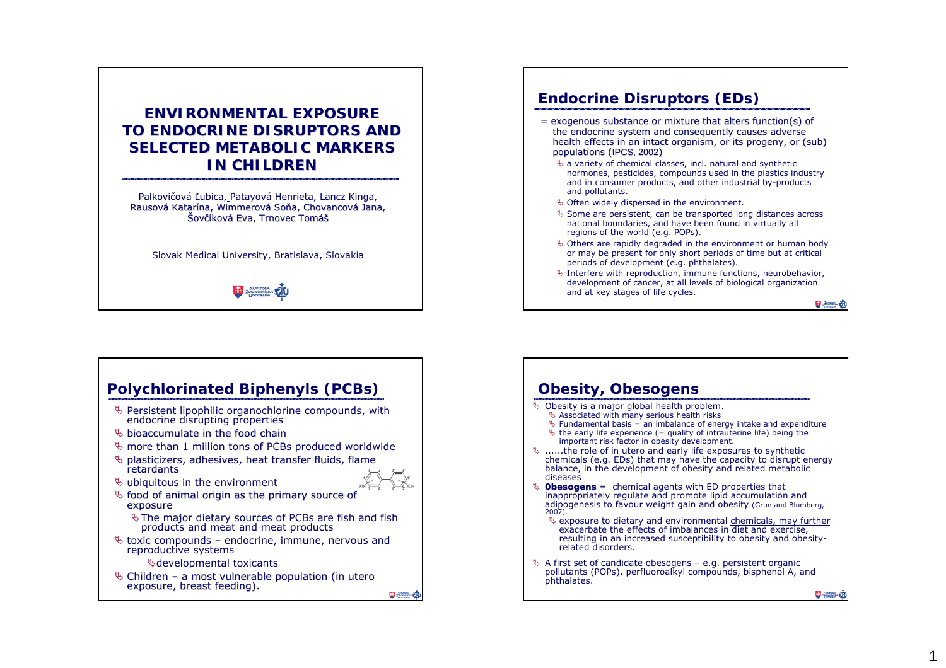## **ENVIRONMENTAL EXPOSURE ENVIRONMENTAL EXPOSURE TO ENDOCRINE DISRUPTORS AND SELECTED METABOLIC MARKERS IN CHILDREN**

Palkovičová Ľubica, Patayová Henrieta, Lancz Kinga, Rausová Katarína, Wimmerová Soňa, Chovancová Jana, Šovčíková Eva, Trnovec Tomáš

Slovak Medical University, Bratislava, Slovakia



# **Endocrine Disruptors (EDs)**

- = exogenous substance or mixture that alters function(s) of the endocrine system and consequently causes adverse health effects in an intact organism, or its progeny, or (sub) populations (IPCS, 2002)
	- $\%$  a variety of chemical classes, incl. natural and synthetic hormones, pesticides, compounds used in the plastics industry and in consumer products, and other industrial by-products and pollutants.
	- $\%$  Often widely dispersed in the environment.
	- $\%$  Some are persistent, can be transported long distances across national boundaries, and have been found in virtually all regions of the world (e.g. POPs).
	- $\%$  Others are rapidly degraded in the environment or human body or may be present for only short periods of time but at critical periods of development (e.g. phthalates).
	- $\%$  Interfere with reproduction, immune functions, neurobehavior, development of cancer, at all levels of biological organization and at key stages of life cycles.

日無味

 $\overline{1}$ 

## **Polychlorinated Biphenyls (PCBs)**  $\%$  Persistent lipophilic organochlorine compounds, with endocrine disrupting properties  $\%$  bioaccumulate in the food chain  $\%$  more than 1 million tons of PCBs produced worldwide ª plasticizers, adhesives, heat transfer fluids, flame plasticizers, adhesives, fluids, retardants retardants  $\%$  ubiquitous in the environment  $\%$  food of animal origin as the primary source of exposure  $\%$  The major dietary sources of PCBs are fish and fish products and meat and meat products  $\%$  toxic compounds – endocrine, immune, nervous and reproductive systems ªdevelopmental toxicants ª Children – a most vulnerable population (*in utero* exposure, breast feeding). exposure, breast feeding). 日调动

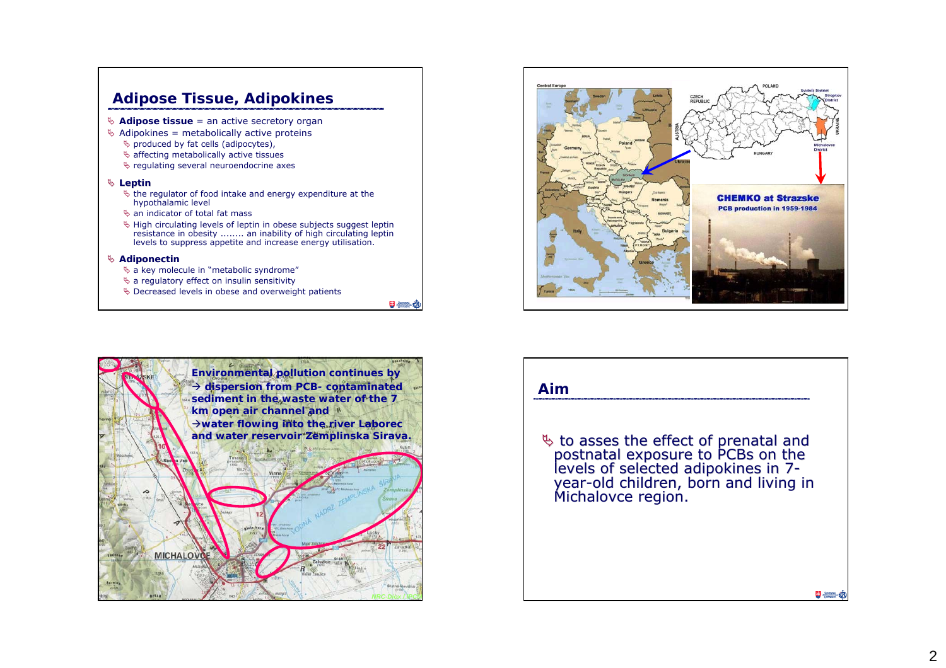# **Adipose Tissue, Adipokines**

- ª **Adipose tissue** = an active secretory organ
- $\%$  Adipokines = metabolically active proteins
	- $\%$  produced by fat cells (adipocytes),
	- $\%$  affecting metabolically active tissues
	- $\%$  regulating several neuroendocrine axes

#### ª **Leptin**

- $\%$  the regulator of food intake and energy expenditure at the hypothalamic level
- $\%$  an indicator of total fat mass
- $\%$  High circulating levels of leptin in obese subjects suggest leptin resistance in obesity ........ an inability of high circulating leptin levels to suppress appetite and increase energy utilisation.

#### ª **Adiponectin**

- $\%$  a key molecule in "metabolic syndrome"
- $\%$  a regulatory effect on insulin sensitivity
- $\%$  Decreased levels in obese and overweight patients

日無名





### **Aim**

 $\%$  to asses the effect of prenatal and postnatal exposure to PCBs on the levels of selected adipokines in 7year-old children, born and living in living in Michalovce region. Michalovce region.

日 無益式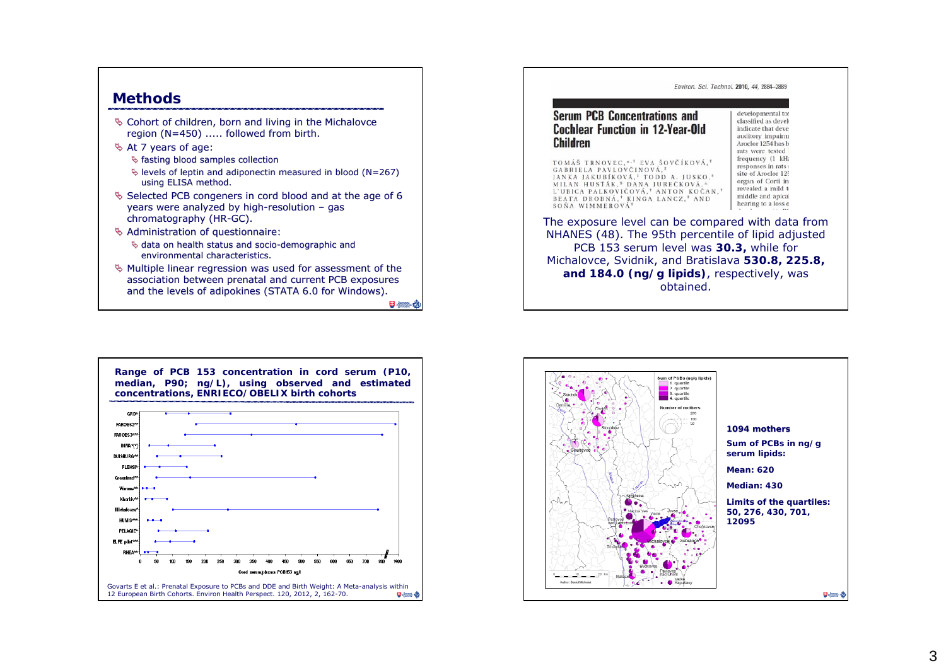### **Methods**

- $\%$  Cohort of children, born and living in the Michalovce region (N=450) ..... followed from birth.
- $\%$  At 7 years of age:
	- $\%$  fasting blood samples collection
	- $\%$  levels of leptin and adiponectin measured in blood (N=267) using ELISA method.
- $\%$  Selected PCB congeners in cord blood and at the age of 6 years were analyzed by high-resolution – gas chromatography (HR-GC).
- $\%$  Administration of questionnaire:  $\%$  data on health status and socio-demographic and environmental characteristics.
- $\%$  Multiple linear regression was used for assessment of the association between prenatal and current PCB exposures and the levels of adipokines (STATA 6.0 for Windows).

日本社





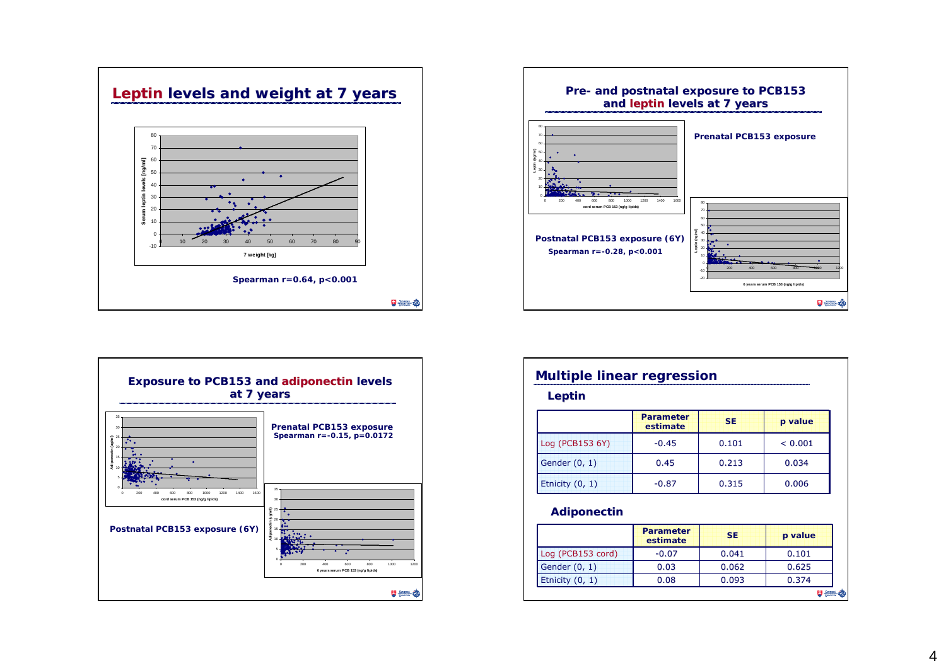





| Leptin            |                              |           |              |  |
|-------------------|------------------------------|-----------|--------------|--|
|                   | <b>Parameter</b><br>estimate | <b>SE</b> | p value      |  |
| Log (PCB153 6Y)   | $-0.45$                      | 0.101     | ${}_{0.001}$ |  |
| Gender (0, 1)     | 0.45                         | 0.213     | 0.034        |  |
| Etnicity $(0, 1)$ | $-0.87$                      | 0.315     | 0.006        |  |

### **Adiponectin**

|                   | <b>Parameter</b><br>estimate | <b>SE</b> | p value |
|-------------------|------------------------------|-----------|---------|
| Log (PCB153 cord) | $-0.07$                      | 0.041     | 0.101   |
| Gender (0, 1)     | 0.03                         | 0.062     | 0.625   |
| Etnicity $(0, 1)$ | 0.08                         | 0.093     | 0.374   |
|                   |                              |           |         |